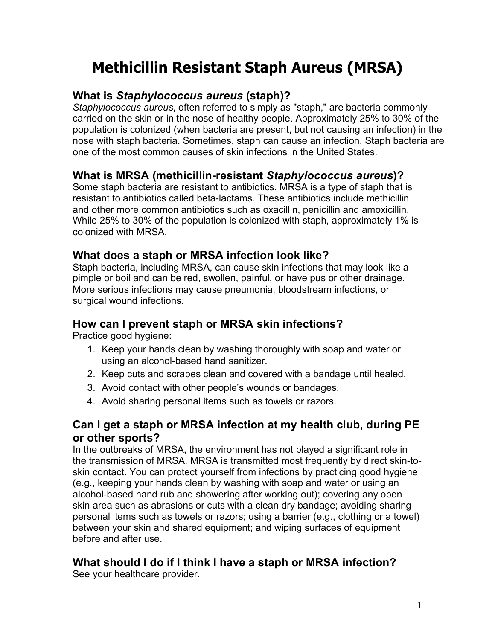# **Methicillin Resistant Staph Aureus (MRSA)**

## **What is** *Staphylococcus aureus* **(staph)?**

*Staphylococcus aureus*, often referred to simply as "staph," are bacteria commonly carried on the skin or in the nose of healthy people. Approximately 25% to 30% of the population is colonized (when bacteria are present, but not causing an infection) in the nose with staph bacteria. Sometimes, staph can cause an infection. Staph bacteria are one of the most common causes of skin infections in the United States.

### **What is MRSA (methicillin-resistant** *Staphylococcus aureus***)?**

Some staph bacteria are resistant to antibiotics. MRSA is a type of staph that is resistant to antibiotics called beta-lactams. These antibiotics include methicillin and other more common antibiotics such as oxacillin, penicillin and amoxicillin. While 25% to 30% of the population is colonized with staph, approximately 1% is colonized with MRSA.

#### **What does a staph or MRSA infection look like?**

Staph bacteria, including MRSA, can cause skin infections that may look like a pimple or boil and can be red, swollen, painful, or have pus or other drainage. More serious infections may cause pneumonia, bloodstream infections, or surgical wound infections.

# **How can I prevent staph or MRSA skin infections?**

Practice good hygiene:

- 1. Keep your hands clean by washing thoroughly with soap and water or using an alcohol-based hand sanitizer.
- 2. Keep cuts and scrapes clean and covered with a bandage until healed.
- 3. Avoid contact with other people's wounds or bandages.
- 4. Avoid sharing personal items such as towels or razors.

### **Can I get a staph or MRSA infection at my health club, during PE or other sports?**

In the outbreaks of MRSA, the environment has not played a significant role in the transmission of MRSA. MRSA is transmitted most frequently by direct skin-toskin contact. You can protect yourself from infections by practicing good hygiene (e.g., keeping your hands clean by washing with soap and water or using an alcohol-based hand rub and showering after working out); covering any open skin area such as abrasions or cuts with a clean dry bandage; avoiding sharing personal items such as towels or razors; using a barrier (e.g., clothing or a towel) between your skin and shared equipment; and wiping surfaces of equipment before and after use.

# **What should I do if I think I have a staph or MRSA infection?**

See your healthcare provider.